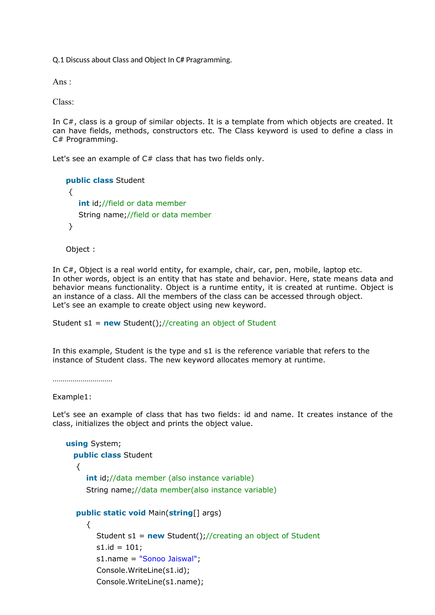Q.1 Discuss about Class and Object In C# Pragramming.

Ans :

Class:

In C#, class is a group of similar objects. It is a template from which objects are created. It can have fields, methods, constructors etc. The Class keyword is used to define a class in C# Programming.

Let's see an example of  $C#$  class that has two fields only.

```
public class Student
{
   int id;//field or data member
   String name;//field or data member
}
```
Object :

In C#, Object is a real world entity, for example, chair, car, pen, mobile, laptop etc. In other words, object is an entity that has state and behavior. Here, state means data and behavior means functionality. Object is a runtime entity, it is created at runtime. Object is an instance of a class. All the members of the class can be accessed through object. Let's see an example to create object using new keyword.

Student s1 = **new** Student();//creating an object of Student

In this example, Student is the type and s1 is the reference variable that refers to the instance of Student class. The new keyword allocates memory at runtime.

………………………………

Example1:

Let's see an example of class that has two fields: id and name. It creates instance of the class, initializes the object and prints the object value.

```
using System;
  public class Student
  {
     int id;//data member (also instance variable)
     String name;//data member(also instance variable)
  public static void Main(string[] args)
     {
       Student s1 = new Student();//creating an object of Student
       s1.id = 101;s1.name = "Sonoo Jaiswal";
       Console.WriteLine(s1.id);
       Console.WriteLine(s1.name);
```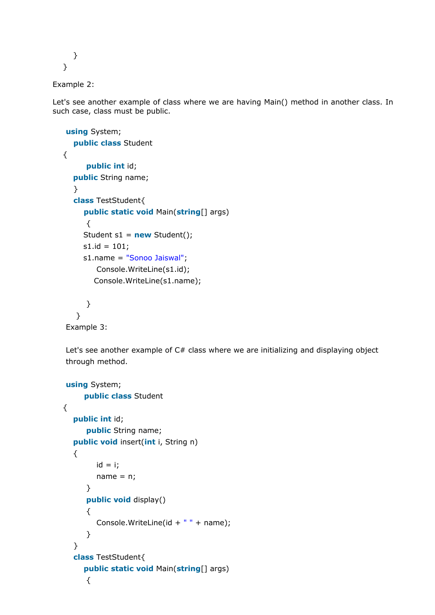```
}
}
```

```
Example 2:
```
Let's see another example of class where we are having Main() method in another class. In such case, class must be public.

```
using System;
  public class Student
{
     public int id;
  public String name;
  }
  class TestStudent{
     public static void Main(string[] args)
     {
     Student s1 = new Student();
     s1.id = 101;s1.name = "Sonoo Jaiswal";
        Console.WriteLine(s1.id);
       Console.WriteLine(s1.name);
     }
   }
```
Example 3:

Let's see another example of  $C#$  class where we are initializing and displaying object through method.

```
using System;
     public class Student
\left\{ \right.public int id;
      public String name;
  public void insert(int i, String n)
  {
         id = i;name = n;}
      public void display()
      {
         Console.WriteLine(id + " " + name);}
   }
  class TestStudent{
     public static void Main(string[] args)
      {
```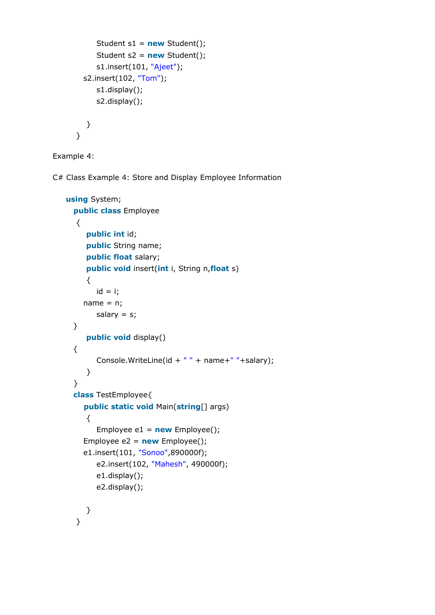```
Student s1 = new Student();
     Student s2 = new Student();
     s1.insert(101, "Ajeet");
  s2.insert(102, "Tom");
     s1.display();
     s2.display();
  }
}
```
Example 4:

C# Class Example 4: Store and Display Employee Information

```
using System;
 public class Employee
  {
     public int id;
     public String name;
     public float salary;
     public void insert(int i, String n,float s)
     {
       id = i;name = n;salary = s;
 }
     public void display()
 {
       Console.WriteLine(id + " " + name+" "+salary);
     }
 }
 class TestEmployee{
    public static void Main(string[] args)
     {
       Employee e1 = new Employee();
    Employee e2 = new Employee();
    e1.insert(101, "Sonoo",890000f);
       e2.insert(102, "Mahesh", 490000f);
       e1.display();
       e2.display();
    }
```

```
}
```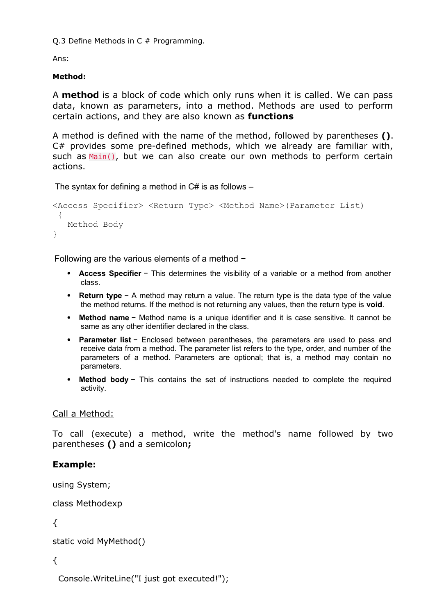Q.3 Define Methods in C # Programming.

Ans:

# **Method:**

A **method** is a block of code which only runs when it is called. We can pass data, known as parameters, into a method. Methods are used to perform certain actions, and they are also known as **functions** 

A method is defined with the name of the method, followed by parentheses **()**. C# provides some pre-defined methods, which we already are familiar with, such as Main(), but we can also create our own methods to perform certain actions.

The syntax for defining a method in  $C#$  is as follows  $-$ 

```
<Access Specifier> <Return Type> <Method Name>(Parameter List)
 {
   Method Body
}
```
Following are the various elements of a method −

- **Access Specifier** − This determines the visibility of a variable or a method from another class.
- **Return type** − A method may return a value. The return type is the data type of the value the method returns. If the method is not returning any values, then the return type is **void**.
- **Method name** − Method name is a unique identifier and it is case sensitive. It cannot be same as any other identifier declared in the class.
- **Parameter list** − Enclosed between parentheses, the parameters are used to pass and receive data from a method. The parameter list refers to the type, order, and number of the parameters of a method. Parameters are optional; that is, a method may contain no parameters.
- **Method body** − This contains the set of instructions needed to complete the required activity.

# Call a Method:

To call (execute) a method, write the method's name followed by two parentheses **()** and a semicolon**;**

# **Example:**

using System;

class Methodexp

{

```
static void MyMethod()
```
{

Console.WriteLine("I just got executed!");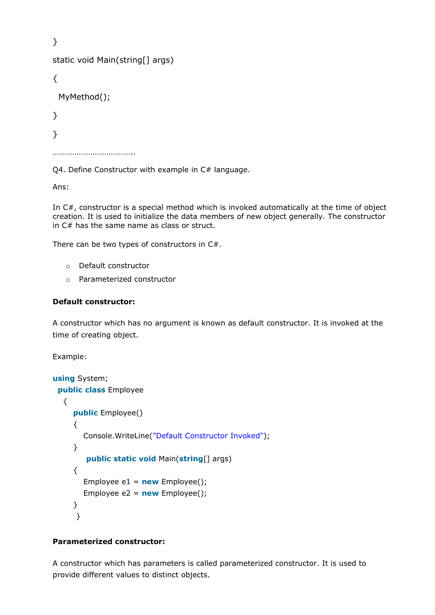```
}
static void Main(string[] args)
{
  MyMethod();
}
}
…………………………………..
```
Q4. Define Constructor with example in C# language.

Ans:

In C#, constructor is a special method which is invoked automatically at the time of object creation. It is used to initialize the data members of new object generally. The constructor in C# has the same name as class or struct.

There can be two types of constructors in C#.

- o Default constructor
- o Parameterized constructor

#### **Default constructor:**

A constructor which has no argument is known as default constructor. It is invoked at the time of creating object.

Example:

```
using System;
 public class Employee
  {
     public Employee()
     {
       Console.WriteLine("Default Constructor Invoked");
     }
        public static void Main(string[] args)
     {
       Employee e1 = new Employee();
       Employee e2 = new Employee();
     }
     }
```
## **Parameterized constructor:**

A constructor which has parameters is called parameterized constructor. It is used to provide different values to distinct objects.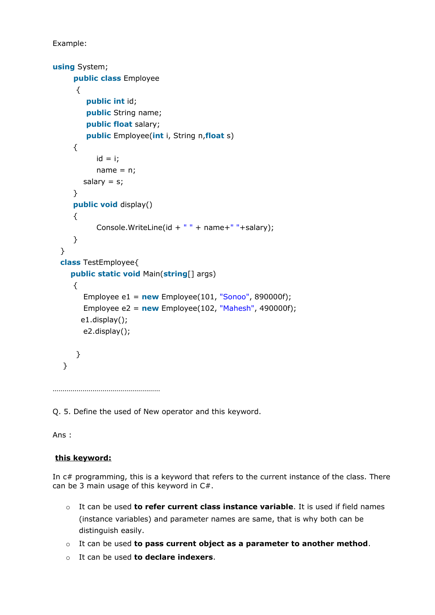Example:

```
using System;
     public class Employee
     {
        public int id;
        public String name;
        public float salary;
        public Employee(int i, String n,float s)
     {
           id = i;name = n;salary = s;
     }
     public void display()
     {
           Console.WriteLine(id + " " + name+" "+salary);
     }
  }
 class TestEmployee{
    public static void Main(string[] args)
     {
       Employee e1 = new Employee(101, "Sonoo", 890000f);
       Employee e2 = new Employee(102, "Mahesh", 490000f);
       e1.display();
       e2.display();
     }
  }
………………………………………………
```
Q. 5. Define the used of New operator and this keyword.

Ans :

# **this keyword:**

In c# programming, this is a keyword that refers to the current instance of the class. There can be 3 main usage of this keyword in C#.

- o It can be used **to refer current class instance variable**. It is used if field names (instance variables) and parameter names are same, that is why both can be distinguish easily.
- o It can be used **to pass current object as a parameter to another method**.
- o It can be used **to declare indexers**.